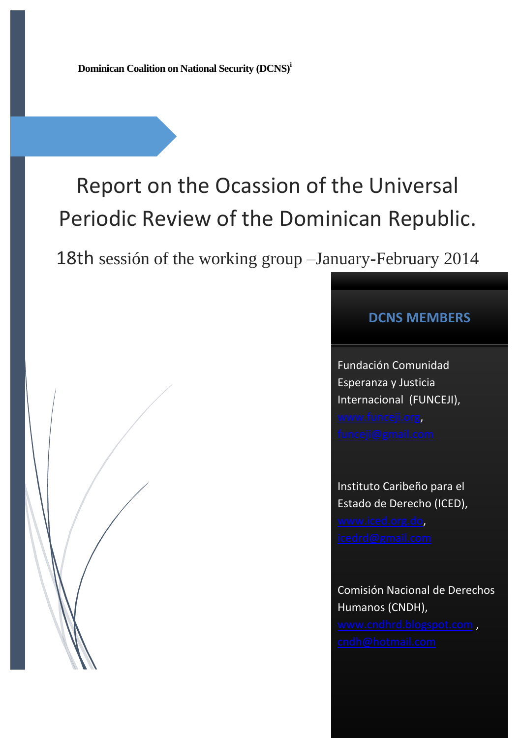**Dominican Coalition on National Security (DCNS)<sup>i</sup>**

# Report on the Ocassion of the Universal Periodic Review of the Dominican Republic.

18th sessión of the working group –January-February 2014

## **DCNS MEMBERS**

Fundación Comunidad Esperanza y Justicia Internacional (FUNCEJI), [www.funceji.org,](http://www.funceji.org/)

Instituto Caribeño para el Estado de Derecho (ICED), [www.iced.org.do,](http://www.iced.org.do/)

Comisión Nacional de Derechos Humanos (CNDH), [www.cndhrd.blogspot.com](http://www.cndhrd.blogspot.com/),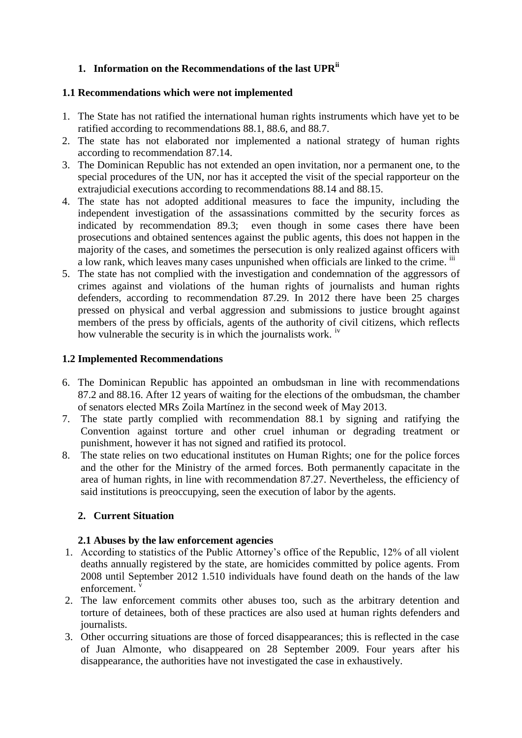## **1. Information on the Recommendations of the last UPRii**

#### **1.1 Recommendations which were not implemented**

- 1. The State has not ratified the international human rights instruments which have yet to be ratified according to recommendations 88.1, 88.6, and 88.7.
- 2. The state has not elaborated nor implemented a national strategy of human rights according to recommendation 87.14.
- 3. The Dominican Republic has not extended an open invitation, nor a permanent one, to the special procedures of the UN, nor has it accepted the visit of the special rapporteur on the extrajudicial executions according to recommendations 88.14 and 88.15.
- 4. The state has not adopted additional measures to face the impunity, including the independent investigation of the assassinations committed by the security forces as indicated by recommendation 89.3; even though in some cases there have been prosecutions and obtained sentences against the public agents, this does not happen in the majority of the cases, and sometimes the persecution is only realized against officers with a low rank, which leaves many cases unpunished when officials are linked to the crime. iii
- 5. The state has not complied with the investigation and condemnation of the aggressors of crimes against and violations of the human rights of journalists and human rights defenders, according to recommendation 87.29. In 2012 there have been 25 charges pressed on physical and verbal aggression and submissions to justice brought against members of the press by officials, agents of the authority of civil citizens, which reflects how vulnerable the security is in which the journalists work. <sup>iv</sup>

## **1.2 Implemented Recommendations**

- 6. The Dominican Republic has appointed an ombudsman in line with recommendations 87.2 and 88.16. After 12 years of waiting for the elections of the ombudsman, the chamber of senators elected MRs Zoila Martínez in the second week of May 2013.
- 7. The state partly complied with recommendation 88.1 by signing and ratifying the Convention against torture and other cruel inhuman or degrading treatment or punishment, however it has not signed and ratified its protocol.
- 8. The state relies on two educational institutes on Human Rights; one for the police forces and the other for the Ministry of the armed forces. Both permanently capacitate in the area of human rights, in line with recommendation 87.27. Nevertheless, the efficiency of said institutions is preoccupying, seen the execution of labor by the agents.

## **2. Current Situation**

## **2.1 Abuses by the law enforcement agencies**

- 1. According to statistics of the Public Attorney's office of the Republic, 12% of all violent deaths annually registered by the state, are homicides committed by police agents. From 2008 until September 2012 1.510 individuals have found death on the hands of the law enforcement.
- 2. The law enforcement commits other abuses too, such as the arbitrary detention and torture of detainees, both of these practices are also used at human rights defenders and journalists.
- 3. Other occurring situations are those of forced disappearances; this is reflected in the case of Juan Almonte, who disappeared on 28 September 2009. Four years after his disappearance, the authorities have not investigated the case in exhaustively.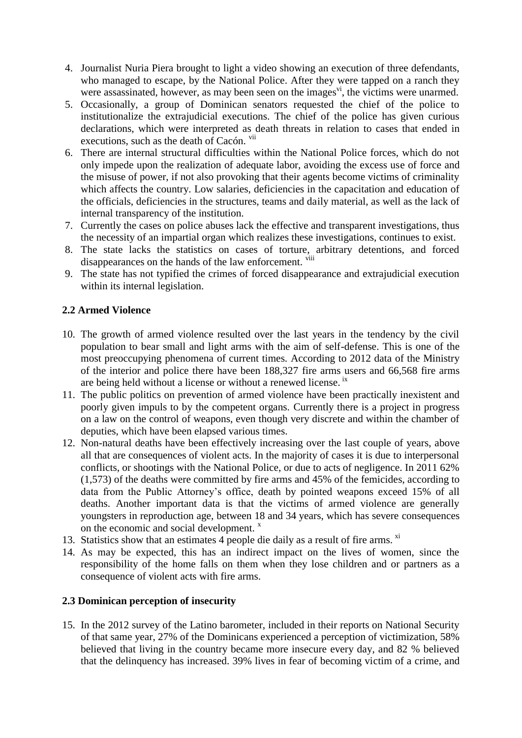- 4. Journalist Nuria Piera brought to light a video showing an execution of three defendants, who managed to escape, by the National Police. After they were tapped on a ranch they were assassinated, however, as may been seen on the images<sup> $vi$ </sup>, the victims were unarmed.
- 5. Occasionally, a group of Dominican senators requested the chief of the police to institutionalize the extrajudicial executions. The chief of the police has given curious declarations, which were interpreted as death threats in relation to cases that ended in executions, such as the death of Cacón. vii
- 6. There are internal structural difficulties within the National Police forces, which do not only impede upon the realization of adequate labor, avoiding the excess use of force and the misuse of power, if not also provoking that their agents become victims of criminality which affects the country. Low salaries, deficiencies in the capacitation and education of the officials, deficiencies in the structures, teams and daily material, as well as the lack of internal transparency of the institution.
- 7. Currently the cases on police abuses lack the effective and transparent investigations, thus the necessity of an impartial organ which realizes these investigations, continues to exist.
- 8. The state lacks the statistics on cases of torture, arbitrary detentions, and forced disappearances on the hands of the law enforcement. <sup>viii</sup>
- 9. The state has not typified the crimes of forced disappearance and extrajudicial execution within its internal legislation.

## **2.2 Armed Violence**

- 10. The growth of armed violence resulted over the last years in the tendency by the civil population to bear small and light arms with the aim of self-defense. This is one of the most preoccupying phenomena of current times. According to 2012 data of the Ministry of the interior and police there have been 188,327 fire arms users and 66,568 fire arms are being held without a license or without a renewed license. ix
- 11. The public politics on prevention of armed violence have been practically inexistent and poorly given impuls to by the competent organs. Currently there is a project in progress on a law on the control of weapons, even though very discrete and within the chamber of deputies, which have been elapsed various times.
- 12. Non-natural deaths have been effectively increasing over the last couple of years, above all that are consequences of violent acts. In the majority of cases it is due to interpersonal conflicts, or shootings with the National Police, or due to acts of negligence. In 2011 62% (1,573) of the deaths were committed by fire arms and 45% of the femicides, according to data from the Public Attorney's office, death by pointed weapons exceed 15% of all deaths. Another important data is that the victims of armed violence are generally youngsters in reproduction age, between 18 and 34 years, which has severe consequences on the economic and social development.  $x$
- 13. Statistics show that an estimates 4 people die daily as a result of fire arms. <sup>xi</sup>
- 14. As may be expected, this has an indirect impact on the lives of women, since the responsibility of the home falls on them when they lose children and or partners as a consequence of violent acts with fire arms.

## **2.3 Dominican perception of insecurity**

15. In the 2012 survey of the Latino barometer, included in their reports on National Security of that same year, 27% of the Dominicans experienced a perception of victimization, 58% believed that living in the country became more insecure every day, and 82 % believed that the delinquency has increased. 39% lives in fear of becoming victim of a crime, and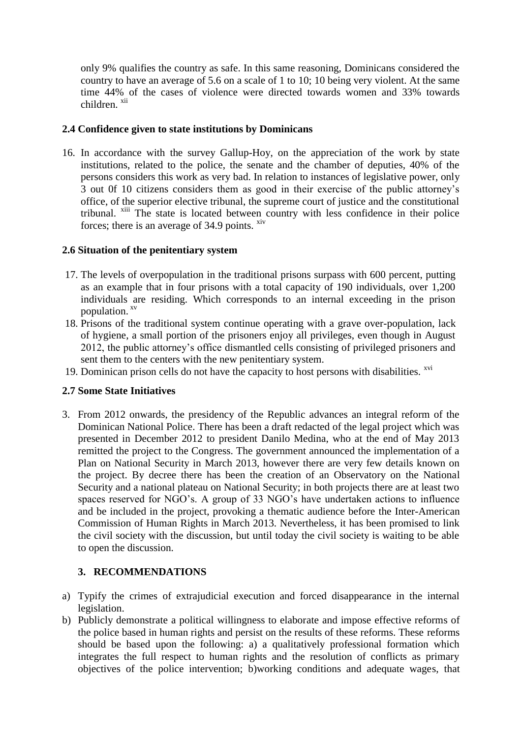only 9% qualifies the country as safe. In this same reasoning, Dominicans considered the country to have an average of 5.6 on a scale of 1 to 10; 10 being very violent. At the same time 44% of the cases of violence were directed towards women and 33% towards children xii

#### **2.4 Confidence given to state institutions by Dominicans**

16. In accordance with the survey Gallup-Hoy, on the appreciation of the work by state institutions, related to the police, the senate and the chamber of deputies, 40% of the persons considers this work as very bad. In relation to instances of legislative power, only 3 out 0f 10 citizens considers them as good in their exercise of the public attorney's office, of the superior elective tribunal, the supreme court of justice and the constitutional tribunal. xiii The state is located between country with less confidence in their police forces; there is an average of 34.9 points.  $\frac{div}{dx}$ 

#### **2.6 Situation of the penitentiary system**

- 17. The levels of overpopulation in the traditional prisons surpass with 600 percent, putting as an example that in four prisons with a total capacity of 190 individuals, over 1,200 individuals are residing. Which corresponds to an internal exceeding in the prison population. xv
- 18. Prisons of the traditional system continue operating with a grave over-population, lack of hygiene, a small portion of the prisoners enjoy all privileges, even though in August 2012, the public attorney's office dismantled cells consisting of privileged prisoners and sent them to the centers with the new penitentiary system.
- 19. Dominican prison cells do not have the capacity to host persons with disabilities. <sup>xvi</sup>

#### **2.7 Some State Initiatives**

3. From 2012 onwards, the presidency of the Republic advances an integral reform of the Dominican National Police. There has been a draft redacted of the legal project which was presented in December 2012 to president Danilo Medina, who at the end of May 2013 remitted the project to the Congress. The government announced the implementation of a Plan on National Security in March 2013, however there are very few details known on the project. By decree there has been the creation of an Observatory on the National Security and a national plateau on National Security; in both projects there are at least two spaces reserved for NGO's. A group of 33 NGO's have undertaken actions to influence and be included in the project, provoking a thematic audience before the Inter-American Commission of Human Rights in March 2013. Nevertheless, it has been promised to link the civil society with the discussion, but until today the civil society is waiting to be able to open the discussion.

#### **3. RECOMMENDATIONS**

- a) Typify the crimes of extrajudicial execution and forced disappearance in the internal legislation.
- b) Publicly demonstrate a political willingness to elaborate and impose effective reforms of the police based in human rights and persist on the results of these reforms. These reforms should be based upon the following: a) a qualitatively professional formation which integrates the full respect to human rights and the resolution of conflicts as primary objectives of the police intervention; b)working conditions and adequate wages, that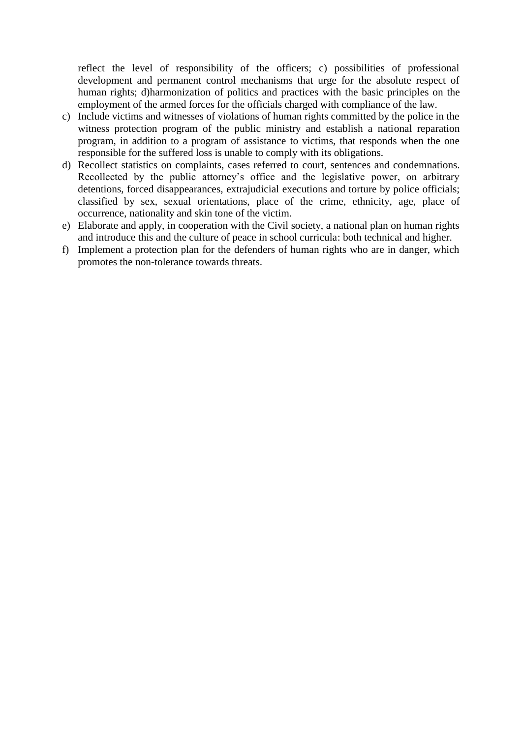reflect the level of responsibility of the officers; c) possibilities of professional development and permanent control mechanisms that urge for the absolute respect of human rights; d)harmonization of politics and practices with the basic principles on the employment of the armed forces for the officials charged with compliance of the law.

- c) Include victims and witnesses of violations of human rights committed by the police in the witness protection program of the public ministry and establish a national reparation program, in addition to a program of assistance to victims, that responds when the one responsible for the suffered loss is unable to comply with its obligations.
- d) Recollect statistics on complaints, cases referred to court, sentences and condemnations. Recollected by the public attorney's office and the legislative power, on arbitrary detentions, forced disappearances, extrajudicial executions and torture by police officials; classified by sex, sexual orientations, place of the crime, ethnicity, age, place of occurrence, nationality and skin tone of the victim.
- e) Elaborate and apply, in cooperation with the Civil society, a national plan on human rights and introduce this and the culture of peace in school curricula: both technical and higher.
- f) Implement a protection plan for the defenders of human rights who are in danger, which promotes the non-tolerance towards threats.